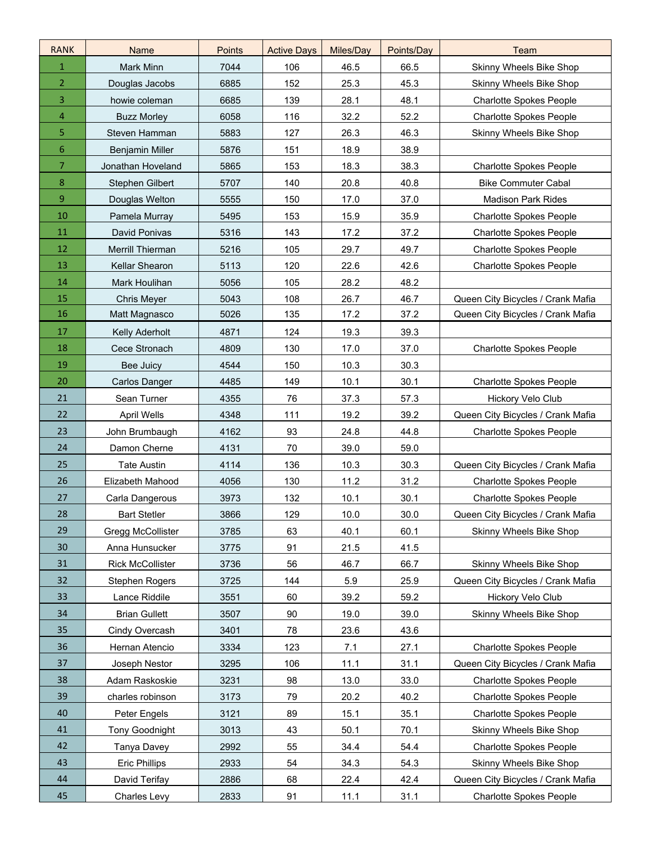| <b>RANK</b>    | Name                    | <b>Points</b> | <b>Active Days</b> | Miles/Day | Points/Day | Team                              |
|----------------|-------------------------|---------------|--------------------|-----------|------------|-----------------------------------|
| $\mathbf{1}$   | Mark Minn               | 7044          | 106                | 46.5      | 66.5       | Skinny Wheels Bike Shop           |
| $\overline{2}$ | Douglas Jacobs          | 6885          | 152                | 25.3      | 45.3       | Skinny Wheels Bike Shop           |
| 3              | howie coleman           | 6685          | 139                | 28.1      | 48.1       | <b>Charlotte Spokes People</b>    |
| 4              | <b>Buzz Morley</b>      | 6058          | 116                | 32.2      | 52.2       | <b>Charlotte Spokes People</b>    |
| 5              | Steven Hamman           | 5883          | 127                | 26.3      | 46.3       | Skinny Wheels Bike Shop           |
| 6              | <b>Benjamin Miller</b>  | 5876          | 151                | 18.9      | 38.9       |                                   |
| 7              | Jonathan Hoveland       | 5865          | 153                | 18.3      | 38.3       | <b>Charlotte Spokes People</b>    |
| 8              | Stephen Gilbert         | 5707          | 140                | 20.8      | 40.8       | <b>Bike Commuter Cabal</b>        |
| 9              | Douglas Welton          | 5555          | 150                | 17.0      | 37.0       | <b>Madison Park Rides</b>         |
| 10             | Pamela Murray           | 5495          | 153                | 15.9      | 35.9       | <b>Charlotte Spokes People</b>    |
| 11             | David Ponivas           | 5316          | 143                | 17.2      | 37.2       | <b>Charlotte Spokes People</b>    |
| 12             | Merrill Thierman        | 5216          | 105                | 29.7      | 49.7       | <b>Charlotte Spokes People</b>    |
| 13             | Kellar Shearon          | 5113          | 120                | 22.6      | 42.6       | <b>Charlotte Spokes People</b>    |
| 14             | Mark Houlihan           | 5056          | 105                | 28.2      | 48.2       |                                   |
| 15             | <b>Chris Meyer</b>      | 5043          | 108                | 26.7      | 46.7       | Queen City Bicycles / Crank Mafia |
| 16             | Matt Magnasco           | 5026          | 135                | 17.2      | 37.2       | Queen City Bicycles / Crank Mafia |
| 17             | <b>Kelly Aderholt</b>   | 4871          | 124                | 19.3      | 39.3       |                                   |
| 18             | Cece Stronach           | 4809          | 130                | 17.0      | 37.0       | <b>Charlotte Spokes People</b>    |
| 19             | Bee Juicy               | 4544          | 150                | 10.3      | 30.3       |                                   |
| 20             | Carlos Danger           | 4485          | 149                | 10.1      | 30.1       | <b>Charlotte Spokes People</b>    |
| 21             | Sean Turner             | 4355          | 76                 | 37.3      | 57.3       | Hickory Velo Club                 |
| 22             | <b>April Wells</b>      | 4348          | 111                | 19.2      | 39.2       | Queen City Bicycles / Crank Mafia |
| 23             | John Brumbaugh          | 4162          | 93                 | 24.8      | 44.8       | <b>Charlotte Spokes People</b>    |
| 24             | Damon Cherne            | 4131          | 70                 | 39.0      | 59.0       |                                   |
| 25             | <b>Tate Austin</b>      | 4114          | 136                | 10.3      | 30.3       | Queen City Bicycles / Crank Mafia |
| 26             | Elizabeth Mahood        | 4056          | 130                | 11.2      | 31.2       | <b>Charlotte Spokes People</b>    |
| 27             | Carla Dangerous         | 3973          | 132                | 10.1      | 30.1       | <b>Charlotte Spokes People</b>    |
| 28             | <b>Bart Stetler</b>     | 3866          | 129                | 10.0      | 30.0       | Queen City Bicycles / Crank Mafia |
| 29             | Gregg McCollister       | 3785          | 63                 | 40.1      | 60.1       | Skinny Wheels Bike Shop           |
| 30             | Anna Hunsucker          | 3775          | 91                 | 21.5      | 41.5       |                                   |
| 31             | <b>Rick McCollister</b> | 3736          | 56                 | 46.7      | 66.7       | Skinny Wheels Bike Shop           |
| 32             | Stephen Rogers          | 3725          | 144                | 5.9       | 25.9       | Queen City Bicycles / Crank Mafia |
| 33             | Lance Riddile           | 3551          | 60                 | 39.2      | 59.2       | Hickory Velo Club                 |
| 34             | <b>Brian Gullett</b>    | 3507          | 90                 | 19.0      | 39.0       | Skinny Wheels Bike Shop           |
| 35             | Cindy Overcash          | 3401          | 78                 | 23.6      | 43.6       |                                   |
| 36             | Hernan Atencio          | 3334          | 123                | 7.1       | 27.1       | <b>Charlotte Spokes People</b>    |
| 37             | Joseph Nestor           | 3295          | 106                | 11.1      | 31.1       | Queen City Bicycles / Crank Mafia |
| 38             | Adam Raskoskie          | 3231          | 98                 | 13.0      | 33.0       | <b>Charlotte Spokes People</b>    |
| 39             | charles robinson        | 3173          | 79                 | 20.2      | 40.2       | <b>Charlotte Spokes People</b>    |
| 40             | Peter Engels            | 3121          | 89                 | 15.1      | 35.1       | <b>Charlotte Spokes People</b>    |
| 41             | <b>Tony Goodnight</b>   | 3013          | 43                 | 50.1      | 70.1       | Skinny Wheels Bike Shop           |
| 42             | Tanya Davey             | 2992          | 55                 | 34.4      | 54.4       | <b>Charlotte Spokes People</b>    |
| 43             | <b>Eric Phillips</b>    | 2933          | 54                 | 34.3      | 54.3       | Skinny Wheels Bike Shop           |
| 44             | David Terifay           | 2886          | 68                 | 22.4      | 42.4       | Queen City Bicycles / Crank Mafia |
| 45             | Charles Levy            | 2833          | 91                 | 11.1      | 31.1       | <b>Charlotte Spokes People</b>    |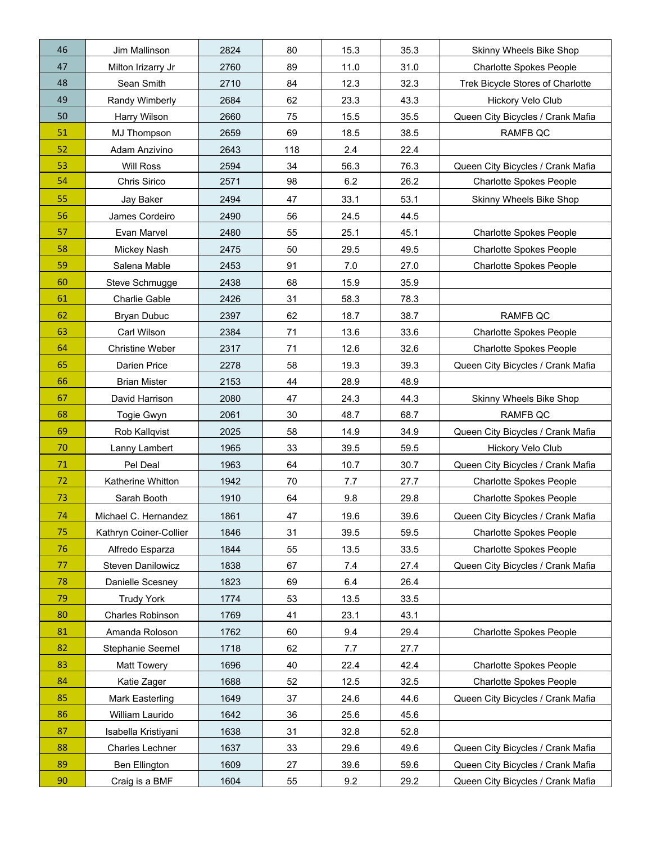| 46 | Jim Mallinson            | 2824 | 80  | 15.3 | 35.3 | Skinny Wheels Bike Shop           |
|----|--------------------------|------|-----|------|------|-----------------------------------|
| 47 | Milton Irizarry Jr       | 2760 | 89  | 11.0 | 31.0 | <b>Charlotte Spokes People</b>    |
| 48 | Sean Smith               | 2710 | 84  | 12.3 | 32.3 | Trek Bicycle Stores of Charlotte  |
| 49 | Randy Wimberly           | 2684 | 62  | 23.3 | 43.3 | Hickory Velo Club                 |
| 50 | Harry Wilson             | 2660 | 75  | 15.5 | 35.5 | Queen City Bicycles / Crank Mafia |
| 51 | MJ Thompson              | 2659 | 69  | 18.5 | 38.5 | RAMFB QC                          |
| 52 | Adam Anzivino            | 2643 | 118 | 2.4  | 22.4 |                                   |
| 53 | <b>Will Ross</b>         | 2594 | 34  | 56.3 | 76.3 | Queen City Bicycles / Crank Mafia |
| 54 | Chris Sirico             | 2571 | 98  | 6.2  | 26.2 | Charlotte Spokes People           |
| 55 | Jay Baker                | 2494 | 47  | 33.1 | 53.1 | Skinny Wheels Bike Shop           |
| 56 | James Cordeiro           | 2490 | 56  | 24.5 | 44.5 |                                   |
| 57 | Evan Marvel              | 2480 | 55  | 25.1 | 45.1 | <b>Charlotte Spokes People</b>    |
| 58 | Mickey Nash              | 2475 | 50  | 29.5 | 49.5 | <b>Charlotte Spokes People</b>    |
| 59 | Salena Mable             | 2453 | 91  | 7.0  | 27.0 | <b>Charlotte Spokes People</b>    |
| 60 | Steve Schmugge           | 2438 | 68  | 15.9 | 35.9 |                                   |
| 61 | Charlie Gable            | 2426 | 31  | 58.3 | 78.3 |                                   |
| 62 | <b>Bryan Dubuc</b>       | 2397 | 62  | 18.7 | 38.7 | RAMFB QC                          |
| 63 | Carl Wilson              | 2384 | 71  | 13.6 | 33.6 | <b>Charlotte Spokes People</b>    |
| 64 | <b>Christine Weber</b>   | 2317 | 71  | 12.6 | 32.6 | <b>Charlotte Spokes People</b>    |
| 65 | Darien Price             | 2278 | 58  | 19.3 | 39.3 | Queen City Bicycles / Crank Mafia |
| 66 | <b>Brian Mister</b>      | 2153 | 44  | 28.9 | 48.9 |                                   |
| 67 | David Harrison           | 2080 | 47  | 24.3 | 44.3 | Skinny Wheels Bike Shop           |
| 68 | Togie Gwyn               | 2061 | 30  | 48.7 | 68.7 | <b>RAMFB QC</b>                   |
| 69 | Rob Kallqvist            | 2025 | 58  | 14.9 | 34.9 | Queen City Bicycles / Crank Mafia |
| 70 | Lanny Lambert            | 1965 | 33  | 39.5 | 59.5 | Hickory Velo Club                 |
| 71 | Pel Deal                 | 1963 | 64  | 10.7 | 30.7 | Queen City Bicycles / Crank Mafia |
| 72 | Katherine Whitton        | 1942 | 70  | 7.7  | 27.7 | <b>Charlotte Spokes People</b>    |
| 73 | Sarah Booth              | 1910 | 64  | 9.8  | 29.8 | <b>Charlotte Spokes People</b>    |
| 74 | Michael C. Hernandez     | 1861 | 47  | 19.6 | 39.6 | Queen City Bicycles / Crank Mafia |
| 75 | Kathryn Coiner-Collier   | 1846 | 31  | 39.5 | 59.5 | <b>Charlotte Spokes People</b>    |
| 76 | Alfredo Esparza          | 1844 | 55  | 13.5 | 33.5 | <b>Charlotte Spokes People</b>    |
| 77 | <b>Steven Danilowicz</b> | 1838 | 67  | 7.4  | 27.4 | Queen City Bicycles / Crank Mafia |
| 78 | Danielle Scesney         | 1823 | 69  | 6.4  | 26.4 |                                   |
| 79 | <b>Trudy York</b>        | 1774 | 53  | 13.5 | 33.5 |                                   |
| 80 | Charles Robinson         | 1769 | 41  | 23.1 | 43.1 |                                   |
| 81 | Amanda Roloson           | 1762 | 60  | 9.4  | 29.4 | <b>Charlotte Spokes People</b>    |
| 82 | Stephanie Seemel         | 1718 | 62  | 7.7  | 27.7 |                                   |
| 83 | <b>Matt Towery</b>       | 1696 | 40  | 22.4 | 42.4 | <b>Charlotte Spokes People</b>    |
| 84 | Katie Zager              | 1688 | 52  | 12.5 | 32.5 | <b>Charlotte Spokes People</b>    |
| 85 | Mark Easterling          | 1649 | 37  | 24.6 | 44.6 | Queen City Bicycles / Crank Mafia |
| 86 | William Laurido          | 1642 | 36  | 25.6 | 45.6 |                                   |
| 87 | Isabella Kristiyani      | 1638 | 31  | 32.8 | 52.8 |                                   |
| 88 | Charles Lechner          | 1637 | 33  | 29.6 | 49.6 | Queen City Bicycles / Crank Mafia |
| 89 | Ben Ellington            | 1609 | 27  | 39.6 | 59.6 | Queen City Bicycles / Crank Mafia |
| 90 | Craig is a BMF           | 1604 | 55  | 9.2  | 29.2 | Queen City Bicycles / Crank Mafia |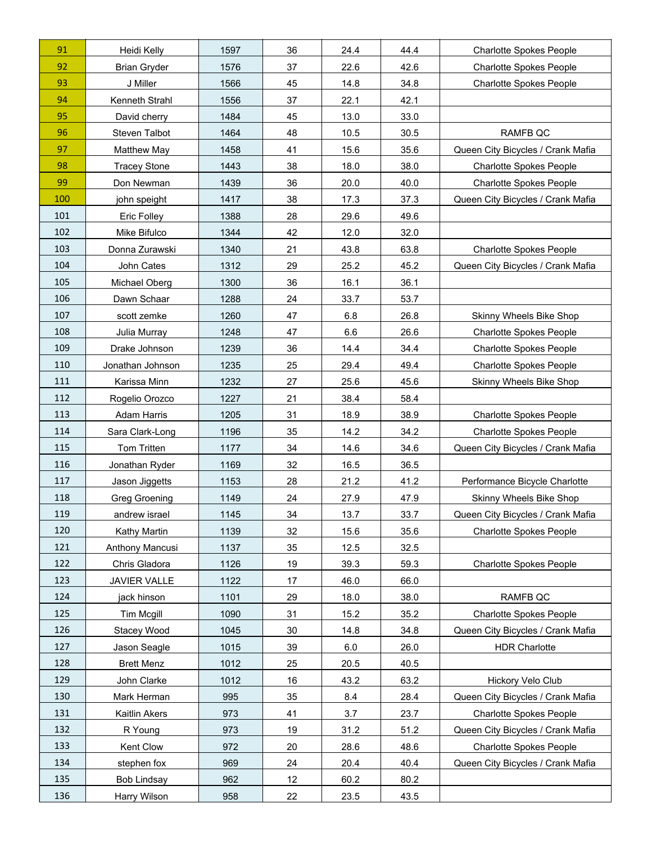| 91  | Heidi Kelly          | 1597 | 36 | 24.4 | 44.4 | <b>Charlotte Spokes People</b>    |
|-----|----------------------|------|----|------|------|-----------------------------------|
| 92  | <b>Brian Gryder</b>  | 1576 | 37 | 22.6 | 42.6 | <b>Charlotte Spokes People</b>    |
| 93  | J Miller             | 1566 | 45 | 14.8 | 34.8 | <b>Charlotte Spokes People</b>    |
| 94  | Kenneth Strahl       | 1556 | 37 | 22.1 | 42.1 |                                   |
| 95  | David cherry         | 1484 | 45 | 13.0 | 33.0 |                                   |
| 96  | Steven Talbot        | 1464 | 48 | 10.5 | 30.5 | <b>RAMFB QC</b>                   |
| 97  | Matthew May          | 1458 | 41 | 15.6 | 35.6 | Queen City Bicycles / Crank Mafia |
| 98  | <b>Tracey Stone</b>  | 1443 | 38 | 18.0 | 38.0 | <b>Charlotte Spokes People</b>    |
| 99  | Don Newman           | 1439 | 36 | 20.0 | 40.0 | <b>Charlotte Spokes People</b>    |
| 100 | john speight         | 1417 | 38 | 17.3 | 37.3 | Queen City Bicycles / Crank Mafia |
| 101 | <b>Eric Folley</b>   | 1388 | 28 | 29.6 | 49.6 |                                   |
| 102 | Mike Bifulco         | 1344 | 42 | 12.0 | 32.0 |                                   |
| 103 | Donna Zurawski       | 1340 | 21 | 43.8 | 63.8 | <b>Charlotte Spokes People</b>    |
| 104 | John Cates           | 1312 | 29 | 25.2 | 45.2 | Queen City Bicycles / Crank Mafia |
| 105 | Michael Oberg        | 1300 | 36 | 16.1 | 36.1 |                                   |
| 106 | Dawn Schaar          | 1288 | 24 | 33.7 | 53.7 |                                   |
| 107 | scott zemke          | 1260 | 47 | 6.8  | 26.8 | Skinny Wheels Bike Shop           |
| 108 | Julia Murray         | 1248 | 47 | 6.6  | 26.6 | <b>Charlotte Spokes People</b>    |
| 109 | Drake Johnson        | 1239 | 36 | 14.4 | 34.4 | <b>Charlotte Spokes People</b>    |
| 110 | Jonathan Johnson     | 1235 | 25 | 29.4 | 49.4 | <b>Charlotte Spokes People</b>    |
| 111 | Karissa Minn         | 1232 | 27 | 25.6 | 45.6 | Skinny Wheels Bike Shop           |
| 112 | Rogelio Orozco       | 1227 | 21 | 38.4 | 58.4 |                                   |
| 113 | Adam Harris          | 1205 | 31 | 18.9 | 38.9 | <b>Charlotte Spokes People</b>    |
| 114 | Sara Clark-Long      | 1196 | 35 | 14.2 | 34.2 | <b>Charlotte Spokes People</b>    |
| 115 | Tom Tritten          | 1177 | 34 | 14.6 | 34.6 | Queen City Bicycles / Crank Mafia |
| 116 | Jonathan Ryder       | 1169 | 32 | 16.5 | 36.5 |                                   |
| 117 | Jason Jiggetts       | 1153 | 28 | 21.2 | 41.2 | Performance Bicycle Charlotte     |
| 118 | <b>Greg Groening</b> | 1149 | 24 | 27.9 | 47.9 | Skinny Wheels Bike Shop           |
| 119 | andrew israel        | 1145 | 34 | 13.7 | 33.7 | Queen City Bicycles / Crank Mafia |
| 120 | Kathy Martin         | 1139 | 32 | 15.6 | 35.6 | <b>Charlotte Spokes People</b>    |
| 121 | Anthony Mancusi      | 1137 | 35 | 12.5 | 32.5 |                                   |
| 122 | Chris Gladora        | 1126 | 19 | 39.3 | 59.3 | <b>Charlotte Spokes People</b>    |
| 123 | JAVIER VALLE         | 1122 | 17 | 46.0 | 66.0 |                                   |
| 124 | jack hinson          | 1101 | 29 | 18.0 | 38.0 | RAMFB QC                          |
| 125 | Tim Mcgill           | 1090 | 31 | 15.2 | 35.2 | <b>Charlotte Spokes People</b>    |
| 126 | Stacey Wood          | 1045 | 30 | 14.8 | 34.8 | Queen City Bicycles / Crank Mafia |
| 127 | Jason Seagle         | 1015 | 39 | 6.0  | 26.0 | <b>HDR Charlotte</b>              |
| 128 | <b>Brett Menz</b>    | 1012 | 25 | 20.5 | 40.5 |                                   |
| 129 | John Clarke          | 1012 | 16 | 43.2 | 63.2 | Hickory Velo Club                 |
| 130 | Mark Herman          | 995  | 35 | 8.4  | 28.4 | Queen City Bicycles / Crank Mafia |
| 131 | Kaitlin Akers        | 973  | 41 | 3.7  | 23.7 | <b>Charlotte Spokes People</b>    |
| 132 | R Young              | 973  | 19 | 31.2 | 51.2 | Queen City Bicycles / Crank Mafia |
| 133 | Kent Clow            | 972  | 20 | 28.6 | 48.6 | <b>Charlotte Spokes People</b>    |
| 134 | stephen fox          | 969  | 24 | 20.4 | 40.4 | Queen City Bicycles / Crank Mafia |
| 135 | <b>Bob Lindsay</b>   | 962  | 12 | 60.2 | 80.2 |                                   |
| 136 | Harry Wilson         | 958  | 22 | 23.5 | 43.5 |                                   |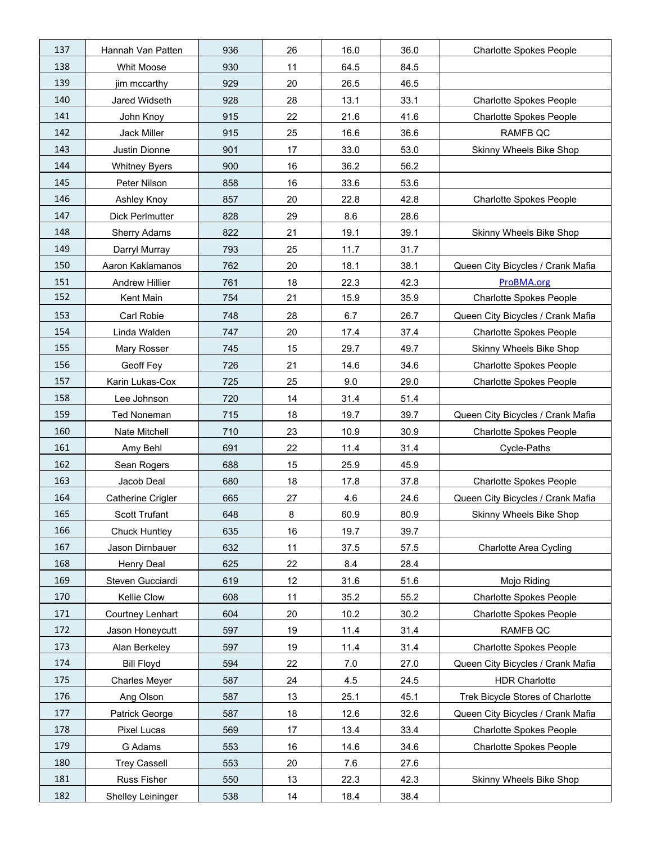| 137 | Hannah Van Patten        | 936 | 26 | 16.0 | 36.0 | <b>Charlotte Spokes People</b>    |
|-----|--------------------------|-----|----|------|------|-----------------------------------|
| 138 | Whit Moose               | 930 | 11 | 64.5 | 84.5 |                                   |
| 139 | jim mccarthy             | 929 | 20 | 26.5 | 46.5 |                                   |
| 140 | Jared Widseth            | 928 | 28 | 13.1 | 33.1 | <b>Charlotte Spokes People</b>    |
| 141 | John Knoy                | 915 | 22 | 21.6 | 41.6 | <b>Charlotte Spokes People</b>    |
| 142 | Jack Miller              | 915 | 25 | 16.6 | 36.6 | RAMFB QC                          |
| 143 | Justin Dionne            | 901 | 17 | 33.0 | 53.0 | Skinny Wheels Bike Shop           |
| 144 | <b>Whitney Byers</b>     | 900 | 16 | 36.2 | 56.2 |                                   |
| 145 | Peter Nilson             | 858 | 16 | 33.6 | 53.6 |                                   |
| 146 | Ashley Knoy              | 857 | 20 | 22.8 | 42.8 | <b>Charlotte Spokes People</b>    |
| 147 | <b>Dick Perlmutter</b>   | 828 | 29 | 8.6  | 28.6 |                                   |
| 148 | Sherry Adams             | 822 | 21 | 19.1 | 39.1 | Skinny Wheels Bike Shop           |
| 149 | Darryl Murray            | 793 | 25 | 11.7 | 31.7 |                                   |
| 150 | Aaron Kaklamanos         | 762 | 20 | 18.1 | 38.1 | Queen City Bicycles / Crank Mafia |
| 151 | Andrew Hillier           | 761 | 18 | 22.3 | 42.3 | ProBMA.org                        |
| 152 | Kent Main                | 754 | 21 | 15.9 | 35.9 | <b>Charlotte Spokes People</b>    |
| 153 | Carl Robie               | 748 | 28 | 6.7  | 26.7 | Queen City Bicycles / Crank Mafia |
| 154 | Linda Walden             | 747 | 20 | 17.4 | 37.4 | <b>Charlotte Spokes People</b>    |
| 155 | Mary Rosser              | 745 | 15 | 29.7 | 49.7 | Skinny Wheels Bike Shop           |
| 156 | Geoff Fey                | 726 | 21 | 14.6 | 34.6 | <b>Charlotte Spokes People</b>    |
| 157 | Karin Lukas-Cox          | 725 | 25 | 9.0  | 29.0 | <b>Charlotte Spokes People</b>    |
| 158 | Lee Johnson              | 720 | 14 | 31.4 | 51.4 |                                   |
| 159 | <b>Ted Noneman</b>       | 715 | 18 | 19.7 | 39.7 | Queen City Bicycles / Crank Mafia |
| 160 | Nate Mitchell            | 710 | 23 | 10.9 | 30.9 | <b>Charlotte Spokes People</b>    |
| 161 | Amy Behl                 | 691 | 22 | 11.4 | 31.4 | Cycle-Paths                       |
| 162 | Sean Rogers              | 688 | 15 | 25.9 | 45.9 |                                   |
| 163 | Jacob Deal               | 680 | 18 | 17.8 | 37.8 | <b>Charlotte Spokes People</b>    |
| 164 | <b>Catherine Crigler</b> | 665 | 27 | 4.6  | 24.6 | Queen City Bicycles / Crank Mafia |
| 165 | Scott Trufant            | 648 | 8  | 60.9 | 80.9 | Skinny Wheels Bike Shop           |
| 166 | <b>Chuck Huntley</b>     | 635 | 16 | 19.7 | 39.7 |                                   |
| 167 | Jason Dirnbauer          | 632 | 11 | 37.5 | 57.5 | <b>Charlotte Area Cycling</b>     |
| 168 | Henry Deal               | 625 | 22 | 8.4  | 28.4 |                                   |
| 169 | Steven Gucciardi         | 619 | 12 | 31.6 | 51.6 | Mojo Riding                       |
| 170 | Kellie Clow              | 608 | 11 | 35.2 | 55.2 | <b>Charlotte Spokes People</b>    |
| 171 | Courtney Lenhart         | 604 | 20 | 10.2 | 30.2 | <b>Charlotte Spokes People</b>    |
| 172 | Jason Honeycutt          | 597 | 19 | 11.4 | 31.4 | RAMFB QC                          |
| 173 | Alan Berkeley            | 597 | 19 | 11.4 | 31.4 | <b>Charlotte Spokes People</b>    |
| 174 | <b>Bill Floyd</b>        | 594 | 22 | 7.0  | 27.0 | Queen City Bicycles / Crank Mafia |
| 175 | <b>Charles Meyer</b>     | 587 | 24 | 4.5  | 24.5 | <b>HDR Charlotte</b>              |
| 176 | Ang Olson                | 587 | 13 | 25.1 | 45.1 | Trek Bicycle Stores of Charlotte  |
| 177 | Patrick George           | 587 | 18 | 12.6 | 32.6 | Queen City Bicycles / Crank Mafia |
| 178 | Pixel Lucas              | 569 | 17 | 13.4 | 33.4 | Charlotte Spokes People           |
| 179 | G Adams                  | 553 | 16 | 14.6 | 34.6 | <b>Charlotte Spokes People</b>    |
| 180 | <b>Trey Cassell</b>      | 553 | 20 | 7.6  | 27.6 |                                   |
| 181 | Russ Fisher              | 550 | 13 | 22.3 | 42.3 | Skinny Wheels Bike Shop           |
| 182 | Shelley Leininger        | 538 | 14 | 18.4 | 38.4 |                                   |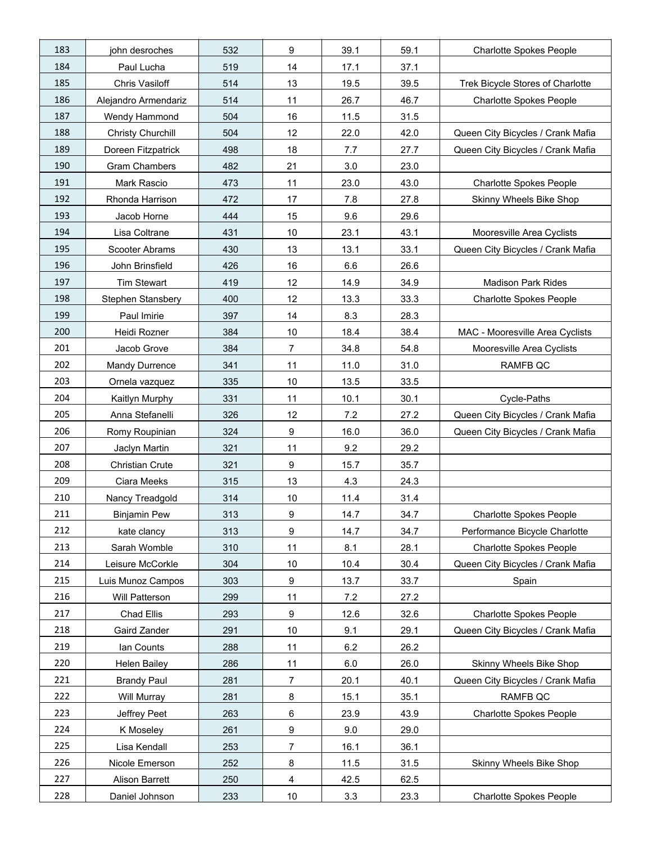| 183 | john desroches           | 532 | 9                       | 39.1 | 59.1 | <b>Charlotte Spokes People</b>    |
|-----|--------------------------|-----|-------------------------|------|------|-----------------------------------|
| 184 | Paul Lucha               | 519 | 14                      | 17.1 | 37.1 |                                   |
| 185 | Chris Vasiloff           | 514 | 13                      | 19.5 | 39.5 | Trek Bicycle Stores of Charlotte  |
| 186 | Alejandro Armendariz     | 514 | 11                      | 26.7 | 46.7 | <b>Charlotte Spokes People</b>    |
| 187 | Wendy Hammond            | 504 | 16                      | 11.5 | 31.5 |                                   |
| 188 | <b>Christy Churchill</b> | 504 | 12                      | 22.0 | 42.0 | Queen City Bicycles / Crank Mafia |
| 189 | Doreen Fitzpatrick       | 498 | 18                      | 7.7  | 27.7 | Queen City Bicycles / Crank Mafia |
| 190 | <b>Gram Chambers</b>     | 482 | 21                      | 3.0  | 23.0 |                                   |
| 191 | Mark Rascio              | 473 | 11                      | 23.0 | 43.0 | <b>Charlotte Spokes People</b>    |
| 192 | Rhonda Harrison          | 472 | 17                      | 7.8  | 27.8 | Skinny Wheels Bike Shop           |
| 193 | Jacob Horne              | 444 | 15                      | 9.6  | 29.6 |                                   |
| 194 | Lisa Coltrane            | 431 | 10                      | 23.1 | 43.1 | Mooresville Area Cyclists         |
| 195 | Scooter Abrams           | 430 | 13                      | 13.1 | 33.1 | Queen City Bicycles / Crank Mafia |
| 196 | John Brinsfield          | 426 | 16                      | 6.6  | 26.6 |                                   |
| 197 | Tim Stewart              | 419 | 12                      | 14.9 | 34.9 | <b>Madison Park Rides</b>         |
| 198 | Stephen Stansbery        | 400 | 12                      | 13.3 | 33.3 | <b>Charlotte Spokes People</b>    |
| 199 | Paul Imirie              | 397 | 14                      | 8.3  | 28.3 |                                   |
| 200 | Heidi Rozner             | 384 | 10                      | 18.4 | 38.4 | MAC - Mooresville Area Cyclists   |
| 201 | Jacob Grove              | 384 | $\overline{7}$          | 34.8 | 54.8 | Mooresville Area Cyclists         |
| 202 | <b>Mandy Durrence</b>    | 341 | 11                      | 11.0 | 31.0 | RAMFB QC                          |
| 203 | Ornela vazquez           | 335 | 10                      | 13.5 | 33.5 |                                   |
| 204 | Kaitlyn Murphy           | 331 | 11                      | 10.1 | 30.1 | Cycle-Paths                       |
| 205 | Anna Stefanelli          | 326 | 12                      | 7.2  | 27.2 | Queen City Bicycles / Crank Mafia |
| 206 | Romy Roupinian           | 324 | 9                       | 16.0 | 36.0 | Queen City Bicycles / Crank Mafia |
| 207 | Jaclyn Martin            | 321 | 11                      | 9.2  | 29.2 |                                   |
| 208 | Christian Crute          | 321 | $\boldsymbol{9}$        | 15.7 | 35.7 |                                   |
| 209 | Ciara Meeks              | 315 | 13                      | 4.3  | 24.3 |                                   |
| 210 | Nancy Treadgold          | 314 | 10                      | 11.4 | 31.4 |                                   |
| 211 | <b>Binjamin Pew</b>      | 313 | 9                       | 14.7 | 34.7 | <b>Charlotte Spokes People</b>    |
| 212 | kate clancy              | 313 | 9                       | 14.7 | 34.7 | Performance Bicycle Charlotte     |
| 213 | Sarah Womble             | 310 | 11                      | 8.1  | 28.1 | <b>Charlotte Spokes People</b>    |
| 214 | Leisure McCorkle         | 304 | 10                      | 10.4 | 30.4 | Queen City Bicycles / Crank Mafia |
| 215 | Luis Munoz Campos        | 303 | 9                       | 13.7 | 33.7 | Spain                             |
| 216 | Will Patterson           | 299 | 11                      | 7.2  | 27.2 |                                   |
| 217 | Chad Ellis               | 293 | $\boldsymbol{9}$        | 12.6 | 32.6 | <b>Charlotte Spokes People</b>    |
| 218 | Gaird Zander             | 291 | 10                      | 9.1  | 29.1 | Queen City Bicycles / Crank Mafia |
| 219 | lan Counts               | 288 | 11                      | 6.2  | 26.2 |                                   |
| 220 | <b>Helen Bailey</b>      | 286 | 11                      | 6.0  | 26.0 | Skinny Wheels Bike Shop           |
| 221 | <b>Brandy Paul</b>       | 281 | $\overline{7}$          | 20.1 | 40.1 | Queen City Bicycles / Crank Mafia |
| 222 | Will Murray              | 281 | 8                       | 15.1 | 35.1 | RAMFB QC                          |
| 223 | Jeffrey Peet             | 263 | 6                       | 23.9 | 43.9 | <b>Charlotte Spokes People</b>    |
| 224 | K Moseley                | 261 | 9                       | 9.0  | 29.0 |                                   |
| 225 | Lisa Kendall             | 253 | 7                       | 16.1 | 36.1 |                                   |
| 226 | Nicole Emerson           | 252 | 8                       | 11.5 | 31.5 | Skinny Wheels Bike Shop           |
| 227 | Alison Barrett           | 250 | $\overline{\mathbf{4}}$ | 42.5 | 62.5 |                                   |
| 228 | Daniel Johnson           | 233 | 10                      | 3.3  | 23.3 | <b>Charlotte Spokes People</b>    |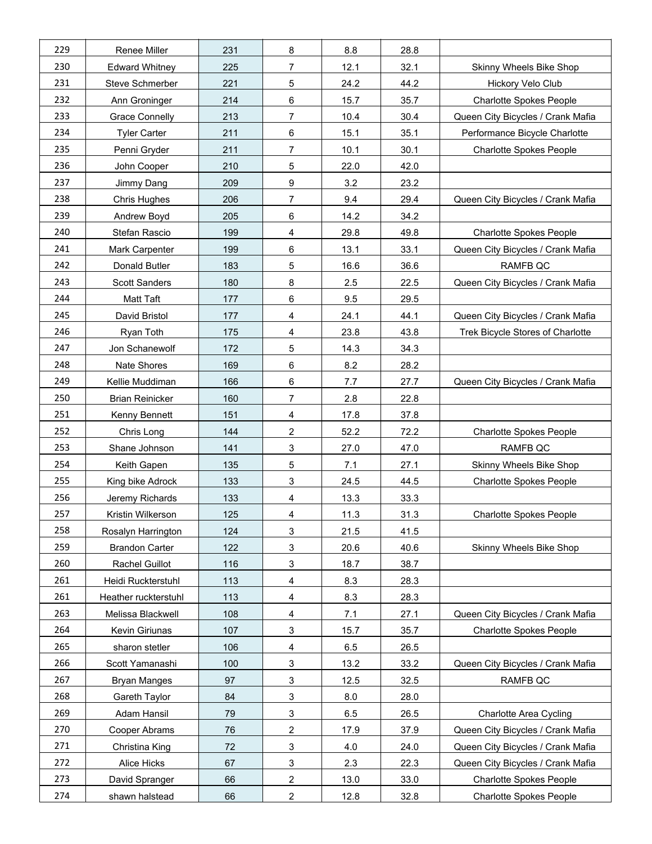| 229 | Renee Miller           | 231 | 8                       | 8.8  | 28.8 |                                   |
|-----|------------------------|-----|-------------------------|------|------|-----------------------------------|
| 230 | <b>Edward Whitney</b>  | 225 | $\overline{7}$          | 12.1 | 32.1 | Skinny Wheels Bike Shop           |
| 231 | Steve Schmerber        | 221 | 5                       | 24.2 | 44.2 | Hickory Velo Club                 |
| 232 | Ann Groninger          | 214 | 6                       | 15.7 | 35.7 | <b>Charlotte Spokes People</b>    |
| 233 | <b>Grace Connelly</b>  | 213 | 7                       | 10.4 | 30.4 | Queen City Bicycles / Crank Mafia |
| 234 | <b>Tyler Carter</b>    | 211 | 6                       | 15.1 | 35.1 | Performance Bicycle Charlotte     |
| 235 | Penni Gryder           | 211 | 7                       | 10.1 | 30.1 | <b>Charlotte Spokes People</b>    |
| 236 | John Cooper            | 210 | 5                       | 22.0 | 42.0 |                                   |
| 237 | Jimmy Dang             | 209 | 9                       | 3.2  | 23.2 |                                   |
| 238 | <b>Chris Hughes</b>    | 206 | 7                       | 9.4  | 29.4 | Queen City Bicycles / Crank Mafia |
| 239 | Andrew Boyd            | 205 | 6                       | 14.2 | 34.2 |                                   |
| 240 | Stefan Rascio          | 199 | 4                       | 29.8 | 49.8 | <b>Charlotte Spokes People</b>    |
| 241 | Mark Carpenter         | 199 | 6                       | 13.1 | 33.1 | Queen City Bicycles / Crank Mafia |
| 242 | Donald Butler          | 183 | 5                       | 16.6 | 36.6 | RAMFB QC                          |
| 243 | <b>Scott Sanders</b>   | 180 | 8                       | 2.5  | 22.5 | Queen City Bicycles / Crank Mafia |
| 244 | Matt Taft              | 177 | 6                       | 9.5  | 29.5 |                                   |
| 245 | David Bristol          | 177 | 4                       | 24.1 | 44.1 | Queen City Bicycles / Crank Mafia |
| 246 | Ryan Toth              | 175 | 4                       | 23.8 | 43.8 | Trek Bicycle Stores of Charlotte  |
| 247 | Jon Schanewolf         | 172 | 5                       | 14.3 | 34.3 |                                   |
| 248 | Nate Shores            | 169 | 6                       | 8.2  | 28.2 |                                   |
| 249 | Kellie Muddiman        | 166 | 6                       | 7.7  | 27.7 | Queen City Bicycles / Crank Mafia |
| 250 | <b>Brian Reinicker</b> | 160 | $\overline{7}$          | 2.8  | 22.8 |                                   |
| 251 | Kenny Bennett          | 151 | 4                       | 17.8 | 37.8 |                                   |
| 252 | Chris Long             | 144 | 2                       | 52.2 | 72.2 | <b>Charlotte Spokes People</b>    |
| 253 | Shane Johnson          | 141 | 3                       | 27.0 | 47.0 | RAMFB QC                          |
| 254 | Keith Gapen            | 135 | 5                       | 7.1  | 27.1 | Skinny Wheels Bike Shop           |
| 255 | King bike Adrock       | 133 | 3                       | 24.5 | 44.5 | <b>Charlotte Spokes People</b>    |
| 256 | Jeremy Richards        | 133 | 4                       | 13.3 | 33.3 |                                   |
| 257 | Kristin Wilkerson      | 125 | 4                       | 11.3 | 31.3 | <b>Charlotte Spokes People</b>    |
| 258 | Rosalyn Harrington     | 124 | 3                       | 21.5 | 41.5 |                                   |
| 259 | <b>Brandon Carter</b>  | 122 | 3                       | 20.6 | 40.6 | Skinny Wheels Bike Shop           |
| 260 | Rachel Guillot         | 116 | 3                       | 18.7 | 38.7 |                                   |
| 261 | Heidi Ruckterstuhl     | 113 | 4                       | 8.3  | 28.3 |                                   |
| 261 | Heather ruckterstuhl   | 113 | 4                       | 8.3  | 28.3 |                                   |
| 263 | Melissa Blackwell      | 108 | 4                       | 7.1  | 27.1 | Queen City Bicycles / Crank Mafia |
| 264 | Kevin Giriunas         | 107 | 3                       | 15.7 | 35.7 | <b>Charlotte Spokes People</b>    |
| 265 | sharon stetler         | 106 | 4                       | 6.5  | 26.5 |                                   |
| 266 | Scott Yamanashi        | 100 | 3                       | 13.2 | 33.2 | Queen City Bicycles / Crank Mafia |
| 267 | <b>Bryan Manges</b>    | 97  | 3                       | 12.5 | 32.5 | RAMFB QC                          |
| 268 | Gareth Taylor          | 84  | 3                       | 8.0  | 28.0 |                                   |
| 269 | Adam Hansil            | 79  | 3                       | 6.5  | 26.5 | Charlotte Area Cycling            |
| 270 | Cooper Abrams          | 76  | 2                       | 17.9 | 37.9 | Queen City Bicycles / Crank Mafia |
| 271 | Christina King         | 72  | 3                       | 4.0  | 24.0 | Queen City Bicycles / Crank Mafia |
| 272 | Alice Hicks            | 67  | 3                       | 2.3  | 22.3 | Queen City Bicycles / Crank Mafia |
| 273 | David Spranger         | 66  | $\overline{\mathbf{c}}$ | 13.0 | 33.0 | <b>Charlotte Spokes People</b>    |
| 274 | shawn halstead         | 66  | $\overline{\mathbf{c}}$ | 12.8 | 32.8 | <b>Charlotte Spokes People</b>    |